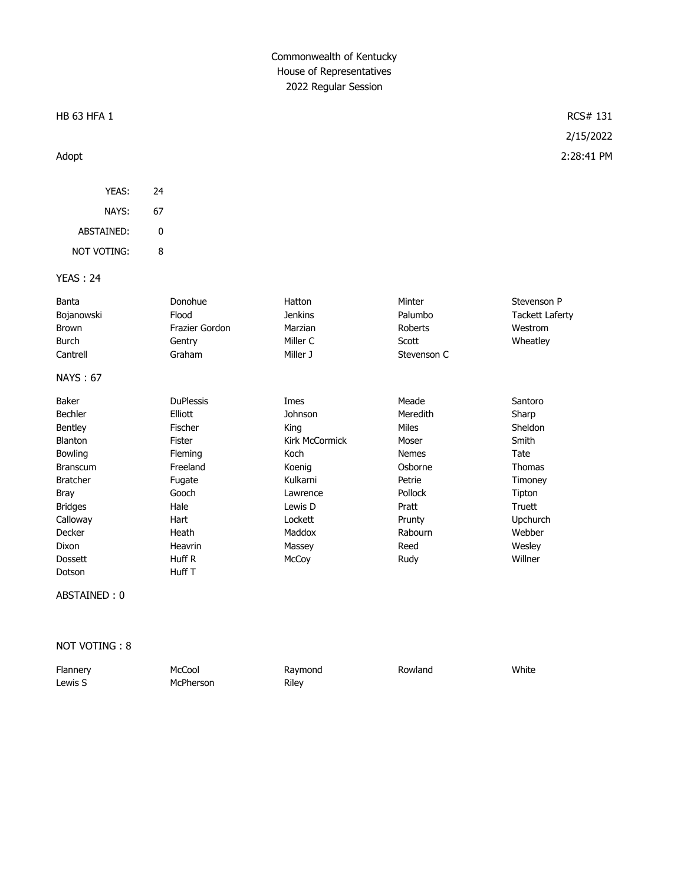## Commonwealth of Kentucky House of Representatives 2022 Regular Session

### $\text{H}\text{B}$  63 HFA 1 RCS# 131

YEAS: 24 NAYS: 67 ABSTAINED: 0 NOT VOTING: 8

### YEAS : 24

| Banta           | Donohue          | Hatton         | Minter         | Stevenson P            |
|-----------------|------------------|----------------|----------------|------------------------|
| Bojanowski      | Flood            | Jenkins        | Palumbo        | <b>Tackett Laferty</b> |
| <b>Brown</b>    | Frazier Gordon   | Marzian        | Roberts        | Westrom                |
| Burch           | Gentry           | Miller C       | Scott          | Wheatley               |
| Cantrell        | Graham           | Miller J       | Stevenson C    |                        |
| <b>NAYS: 67</b> |                  |                |                |                        |
| Baker           | <b>DuPlessis</b> | Imes           | Meade          | Santoro                |
| <b>Bechler</b>  | Elliott          | Johnson        | Meredith       | Sharp                  |
| Bentley         | Fischer          | King           | Miles          | Sheldon                |
| Blanton         | Fister           | Kirk McCormick | Moser          | Smith                  |
| <b>Bowling</b>  | <b>Fleming</b>   | Koch           | <b>Nemes</b>   | Tate                   |
| <b>Branscum</b> | Freeland         | Koenig         | Osborne        | <b>Thomas</b>          |
| <b>Bratcher</b> | Fugate           | Kulkarni       | Petrie         | Timoney                |
| <b>Bray</b>     | Gooch            | Lawrence       | <b>Pollock</b> | Tipton                 |
| <b>Bridges</b>  | Hale             | Lewis D        | Pratt          | Truett                 |
| Calloway        | Hart             | Lockett        | Prunty         | Upchurch               |

ABSTAINED : 0

Dotson Huff T

NOT VOTING : 8

| Flannery | McCool    | Raymond | Rowland | White |
|----------|-----------|---------|---------|-------|
| Lewis S  | McPherson | Riley   |         |       |

Decker Heath Maddox Rabourn Webber Dixon Heavrin Massey Reed Wesley Dossett Huff R McCoy Rudy Willner

# 2/15/2022 Adopt 2:28:41 PM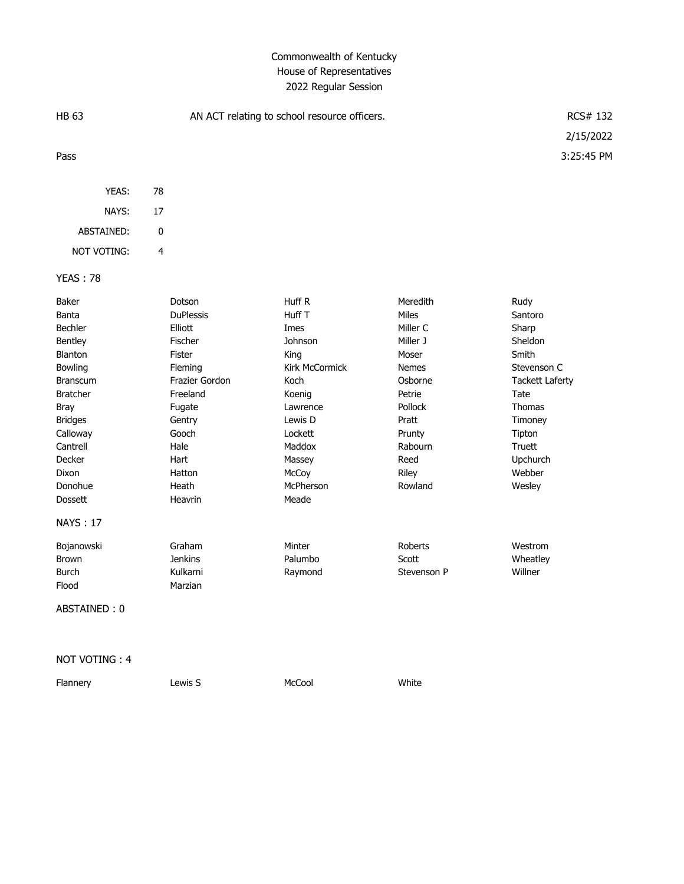# Commonwealth of Kentucky House of Representatives 2022 Regular Session

| <b>HB 63</b><br>AN ACT relating to school resource officers.                                                                                                                                              |                                                                                                                                                                                |                                                                                                                                                                      | RCS# 132                                                                                                                                                     |                                                                                                                                                                        |
|-----------------------------------------------------------------------------------------------------------------------------------------------------------------------------------------------------------|--------------------------------------------------------------------------------------------------------------------------------------------------------------------------------|----------------------------------------------------------------------------------------------------------------------------------------------------------------------|--------------------------------------------------------------------------------------------------------------------------------------------------------------|------------------------------------------------------------------------------------------------------------------------------------------------------------------------|
|                                                                                                                                                                                                           |                                                                                                                                                                                |                                                                                                                                                                      |                                                                                                                                                              | 2/15/2022                                                                                                                                                              |
| Pass                                                                                                                                                                                                      |                                                                                                                                                                                |                                                                                                                                                                      |                                                                                                                                                              | 3:25:45 PM                                                                                                                                                             |
| YEAS:                                                                                                                                                                                                     | 78                                                                                                                                                                             |                                                                                                                                                                      |                                                                                                                                                              |                                                                                                                                                                        |
| NAYS:                                                                                                                                                                                                     | 17                                                                                                                                                                             |                                                                                                                                                                      |                                                                                                                                                              |                                                                                                                                                                        |
| ABSTAINED:                                                                                                                                                                                                | $\pmb{0}$                                                                                                                                                                      |                                                                                                                                                                      |                                                                                                                                                              |                                                                                                                                                                        |
| NOT VOTING:                                                                                                                                                                                               | 4                                                                                                                                                                              |                                                                                                                                                                      |                                                                                                                                                              |                                                                                                                                                                        |
| <b>YEAS: 78</b>                                                                                                                                                                                           |                                                                                                                                                                                |                                                                                                                                                                      |                                                                                                                                                              |                                                                                                                                                                        |
| Baker<br>Banta<br>Bechler<br>Bentley<br>Blanton<br>Bowling<br><b>Branscum</b><br><b>Bratcher</b><br><b>Bray</b><br><b>Bridges</b><br>Calloway<br>Cantrell<br>Decker<br>Dixon<br>Donohue<br><b>Dossett</b> | Dotson<br><b>DuPlessis</b><br>Elliott<br>Fischer<br>Fister<br>Fleming<br>Frazier Gordon<br>Freeland<br>Fugate<br>Gentry<br>Gooch<br>Hale<br>Hart<br>Hatton<br>Heath<br>Heavrin | Huff R<br>Huff T<br>Imes<br>Johnson<br>King<br>Kirk McCormick<br>Koch<br>Koenig<br>Lawrence<br>Lewis D<br>Lockett<br>Maddox<br>Massey<br>McCoy<br>McPherson<br>Meade | Meredith<br>Miles<br>Miller C<br>Miller J<br>Moser<br><b>Nemes</b><br>Osborne<br>Petrie<br>Pollock<br>Pratt<br>Prunty<br>Rabourn<br>Reed<br>Riley<br>Rowland | Rudy<br>Santoro<br>Sharp<br>Sheldon<br>Smith<br>Stevenson C<br><b>Tackett Laferty</b><br>Tate<br>Thomas<br>Timoney<br>Tipton<br>Truett<br>Upchurch<br>Webber<br>Wesley |
| <b>NAYS: 17</b>                                                                                                                                                                                           |                                                                                                                                                                                |                                                                                                                                                                      |                                                                                                                                                              |                                                                                                                                                                        |
| Bojanowski<br>Brown<br><b>Burch</b><br>Flood<br>ABSTAINED: 0                                                                                                                                              | Graham<br><b>Jenkins</b><br>Kulkarni<br>Marzian                                                                                                                                | Minter<br>Palumbo<br>Raymond                                                                                                                                         | Roberts<br>Scott<br>Stevenson P                                                                                                                              | Westrom<br>Wheatley<br>Willner                                                                                                                                         |

NOT VOTING : 4

Flannery **Lewis S** McCool Mecool White

 $\overline{2}$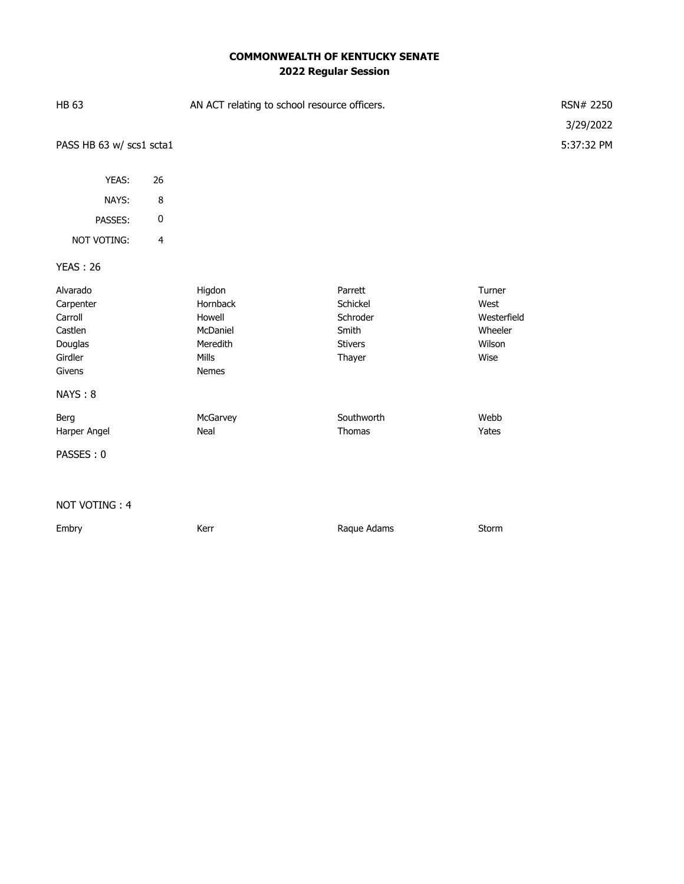# **COMMONWEALTH OF KENTUCKY SENATE 2022 Regular Session**

| <b>HB 63</b>                                                                           |                         | AN ACT relating to school resource officers.                           |                                                                      |                                                            |
|----------------------------------------------------------------------------------------|-------------------------|------------------------------------------------------------------------|----------------------------------------------------------------------|------------------------------------------------------------|
|                                                                                        |                         |                                                                        | 3/29/2022                                                            |                                                            |
| PASS HB 63 w/ scs1 scta1                                                               |                         |                                                                        |                                                                      | 5:37:32 PM                                                 |
|                                                                                        |                         |                                                                        |                                                                      |                                                            |
| YEAS:                                                                                  | 26                      |                                                                        |                                                                      |                                                            |
| NAYS:                                                                                  | 8                       |                                                                        |                                                                      |                                                            |
| PASSES:                                                                                | $\pmb{0}$               |                                                                        |                                                                      |                                                            |
| NOT VOTING:                                                                            | $\overline{\mathbf{4}}$ |                                                                        |                                                                      |                                                            |
| <b>YEAS: 26</b>                                                                        |                         |                                                                        |                                                                      |                                                            |
| Alvarado<br>Carpenter<br>Carroll<br>Castlen<br>Douglas<br>Girdler<br>Givens<br>NAYS: 8 |                         | Higdon<br>Hornback<br>Howell<br>McDaniel<br>Meredith<br>Mills<br>Nemes | Parrett<br>Schickel<br>Schroder<br>Smith<br><b>Stivers</b><br>Thayer | Turner<br>West<br>Westerfield<br>Wheeler<br>Wilson<br>Wise |
| Berg<br>Harper Angel                                                                   |                         | McGarvey<br>Neal                                                       | Southworth<br>Thomas                                                 | Webb<br>Yates                                              |
| PASSES: 0                                                                              |                         |                                                                        |                                                                      |                                                            |
|                                                                                        |                         |                                                                        |                                                                      |                                                            |
| NOT VOTING: 4                                                                          |                         |                                                                        |                                                                      |                                                            |
| Embry                                                                                  |                         | Kerr                                                                   | Raque Adams                                                          | Storm                                                      |